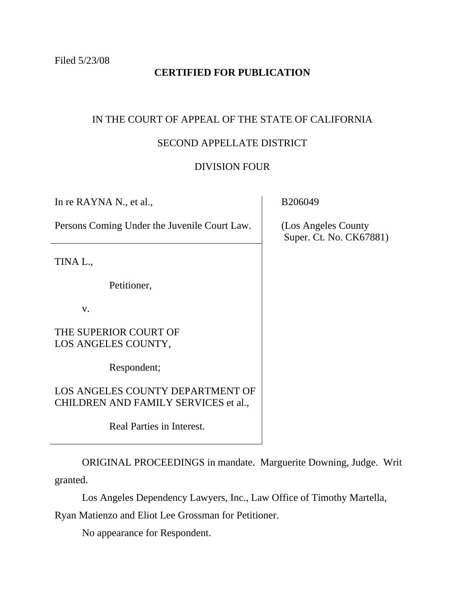# **CERTIFIED FOR PUBLICATION**

## IN THE COURT OF APPEAL OF THE STATE OF CALIFORNIA

### SECOND APPELLATE DISTRICT

#### DIVISION FOUR

In re RAYNA N., et al.,

Persons Coming Under the Juvenile Court Law.

TINA L.,

Petitioner,

v.

THE SUPERIOR COURT OF LOS ANGELES COUNTY,

Respondent;

LOS ANGELES COUNTY DEPARTMENT OF CHILDREN AND FAMILY SERVICES et al.,

Real Parties in Interest.

 ORIGINAL PROCEEDINGS in mandate. Marguerite Downing, Judge. Writ granted.

Los Angeles Dependency Lawyers, Inc., Law Office of Timothy Martella,

Ryan Matienzo and Eliot Lee Grossman for Petitioner.

No appearance for Respondent.

B206049

 (Los Angeles County Super. Ct. No. CK67881)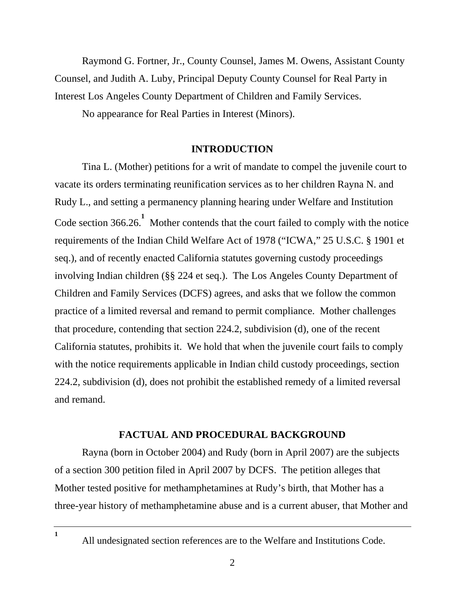Raymond G. Fortner, Jr., County Counsel, James M. Owens, Assistant County Counsel, and Judith A. Luby, Principal Deputy County Counsel for Real Party in Interest Los Angeles County Department of Children and Family Services.

No appearance for Real Parties in Interest (Minors).

### **INTRODUCTION**

 Tina L. (Mother) petitions for a writ of mandate to compel the juvenile court to vacate its orders terminating reunification services as to her children Rayna N. and Rudy L., and setting a permanency planning hearing under Welfare and Institution Code section 366.26.<sup>1</sup> Mother contends that the court failed to comply with the notice requirements of the Indian Child Welfare Act of 1978 ("ICWA," 25 U.S.C. § 1901 et seq.), and of recently enacted California statutes governing custody proceedings involving Indian children (§§ 224 et seq.). The Los Angeles County Department of Children and Family Services (DCFS) agrees, and asks that we follow the common practice of a limited reversal and remand to permit compliance. Mother challenges that procedure, contending that section 224.2, subdivision (d), one of the recent California statutes, prohibits it. We hold that when the juvenile court fails to comply with the notice requirements applicable in Indian child custody proceedings, section 224.2, subdivision (d), does not prohibit the established remedy of a limited reversal and remand.

# **FACTUAL AND PROCEDURAL BACKGROUND**

 Rayna (born in October 2004) and Rudy (born in April 2007) are the subjects of a section 300 petition filed in April 2007 by DCFS. The petition alleges that Mother tested positive for methamphetamines at Rudy's birth, that Mother has a three-year history of methamphetamine abuse and is a current abuser, that Mother and

All undesignated section references are to the Welfare and Institutions Code.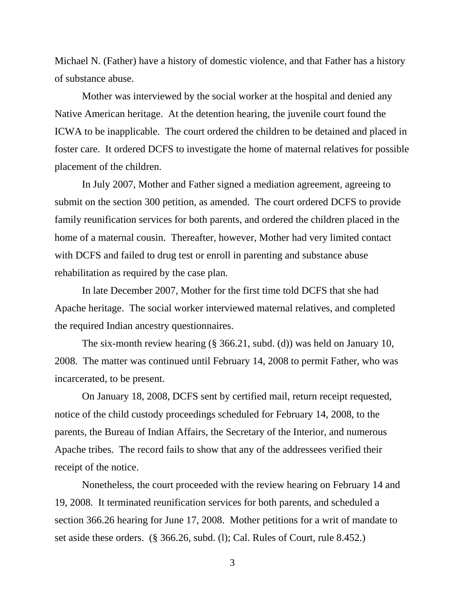Michael N. (Father) have a history of domestic violence, and that Father has a history of substance abuse.

 Mother was interviewed by the social worker at the hospital and denied any Native American heritage. At the detention hearing, the juvenile court found the ICWA to be inapplicable. The court ordered the children to be detained and placed in foster care. It ordered DCFS to investigate the home of maternal relatives for possible placement of the children.

 In July 2007, Mother and Father signed a mediation agreement, agreeing to submit on the section 300 petition, as amended. The court ordered DCFS to provide family reunification services for both parents, and ordered the children placed in the home of a maternal cousin. Thereafter, however, Mother had very limited contact with DCFS and failed to drug test or enroll in parenting and substance abuse rehabilitation as required by the case plan.

 In late December 2007, Mother for the first time told DCFS that she had Apache heritage. The social worker interviewed maternal relatives, and completed the required Indian ancestry questionnaires.

 The six-month review hearing (§ 366.21, subd. (d)) was held on January 10, 2008. The matter was continued until February 14, 2008 to permit Father, who was incarcerated, to be present.

 On January 18, 2008, DCFS sent by certified mail, return receipt requested, notice of the child custody proceedings scheduled for February 14, 2008, to the parents, the Bureau of Indian Affairs, the Secretary of the Interior, and numerous Apache tribes. The record fails to show that any of the addressees verified their receipt of the notice.

 Nonetheless, the court proceeded with the review hearing on February 14 and 19, 2008. It terminated reunification services for both parents, and scheduled a section 366.26 hearing for June 17, 2008. Mother petitions for a writ of mandate to set aside these orders. (§ 366.26, subd. (l); Cal. Rules of Court, rule 8.452.)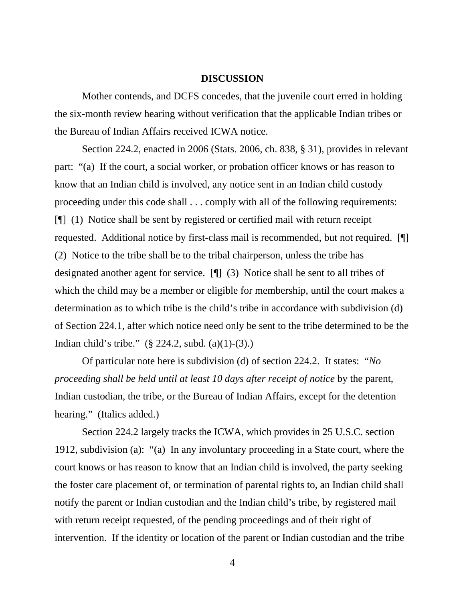#### **DISCUSSION**

 Mother contends, and DCFS concedes, that the juvenile court erred in holding the six-month review hearing without verification that the applicable Indian tribes or the Bureau of Indian Affairs received ICWA notice.

 Section 224.2, enacted in 2006 (Stats. 2006, ch. 838, § 31), provides in relevant part: "(a) If the court, a social worker, or probation officer knows or has reason to know that an Indian child is involved, any notice sent in an Indian child custody proceeding under this code shall . . . comply with all of the following requirements: [¶] (1) Notice shall be sent by registered or certified mail with return receipt requested. Additional notice by first-class mail is recommended, but not required. [¶] (2) Notice to the tribe shall be to the tribal chairperson, unless the tribe has designated another agent for service. [¶] (3) Notice shall be sent to all tribes of which the child may be a member or eligible for membership, until the court makes a determination as to which tribe is the child's tribe in accordance with subdivision (d) of Section 224.1, after which notice need only be sent to the tribe determined to be the Indian child's tribe." (§ 224.2, subd. (a)(1)-(3).)

 Of particular note here is subdivision (d) of section 224.2. It states: "*No proceeding shall be held until at least 10 days after receipt of notice* by the parent, Indian custodian, the tribe, or the Bureau of Indian Affairs, except for the detention hearing." (Italics added.)

 Section 224.2 largely tracks the ICWA, which provides in 25 U.S.C. section 1912, subdivision (a): "(a) In any involuntary proceeding in a State court, where the court knows or has reason to know that an Indian child is involved, the party seeking the foster care placement of, or termination of parental rights to, an Indian child shall notify the parent or Indian custodian and the Indian child's tribe, by registered mail with return receipt requested, of the pending proceedings and of their right of intervention. If the identity or location of the parent or Indian custodian and the tribe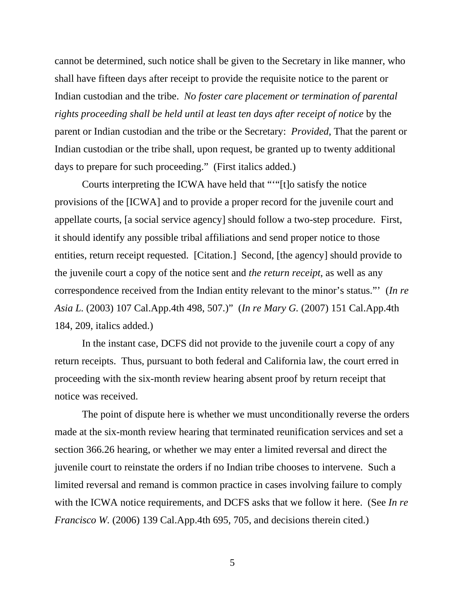cannot be determined, such notice shall be given to the Secretary in like manner, who shall have fifteen days after receipt to provide the requisite notice to the parent or Indian custodian and the tribe. *No foster care placement or termination of parental rights proceeding shall be held until at least ten days after receipt of notice* by the parent or Indian custodian and the tribe or the Secretary: *Provided*, That the parent or Indian custodian or the tribe shall, upon request, be granted up to twenty additional days to prepare for such proceeding." (First italics added.)

 Courts interpreting the ICWA have held that "'"[t]o satisfy the notice provisions of the [ICWA] and to provide a proper record for the juvenile court and appellate courts, [a social service agency] should follow a two-step procedure. First, it should identify any possible tribal affiliations and send proper notice to those entities, return receipt requested. [Citation.] Second, [the agency] should provide to the juvenile court a copy of the notice sent and *the return receipt*, as well as any correspondence received from the Indian entity relevant to the minor's status."' (*In re Asia L.* (2003) 107 Cal.App.4th 498, 507.)" (*In re Mary G.* (2007) 151 Cal.App.4th 184, 209, italics added.)

 In the instant case, DCFS did not provide to the juvenile court a copy of any return receipts. Thus, pursuant to both federal and California law, the court erred in proceeding with the six-month review hearing absent proof by return receipt that notice was received.

 The point of dispute here is whether we must unconditionally reverse the orders made at the six-month review hearing that terminated reunification services and set a section 366.26 hearing, or whether we may enter a limited reversal and direct the juvenile court to reinstate the orders if no Indian tribe chooses to intervene. Such a limited reversal and remand is common practice in cases involving failure to comply with the ICWA notice requirements, and DCFS asks that we follow it here. (See *In re Francisco W.* (2006) 139 Cal.App.4th 695, 705, and decisions therein cited.)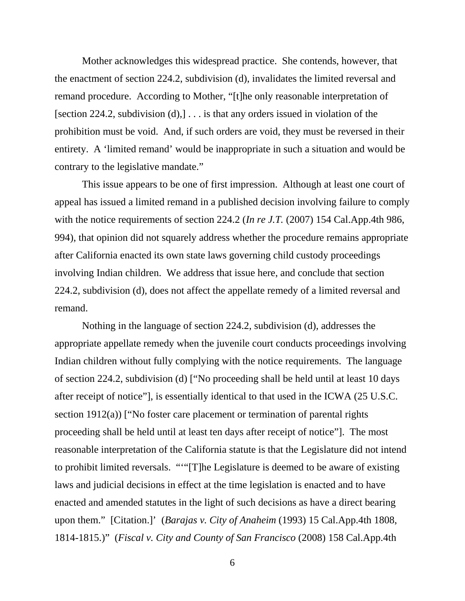Mother acknowledges this widespread practice. She contends, however, that the enactment of section 224.2, subdivision (d), invalidates the limited reversal and remand procedure. According to Mother, "[t]he only reasonable interpretation of [section 224.2, subdivision (d),] . . . is that any orders issued in violation of the prohibition must be void. And, if such orders are void, they must be reversed in their entirety. A 'limited remand' would be inappropriate in such a situation and would be contrary to the legislative mandate."

 This issue appears to be one of first impression. Although at least one court of appeal has issued a limited remand in a published decision involving failure to comply with the notice requirements of section 224.2 (*In re J.T.* (2007) 154 Cal.App.4th 986, 994), that opinion did not squarely address whether the procedure remains appropriate after California enacted its own state laws governing child custody proceedings involving Indian children. We address that issue here, and conclude that section 224.2, subdivision (d), does not affect the appellate remedy of a limited reversal and remand.

 Nothing in the language of section 224.2, subdivision (d), addresses the appropriate appellate remedy when the juvenile court conducts proceedings involving Indian children without fully complying with the notice requirements. The language of section 224.2, subdivision (d) ["No proceeding shall be held until at least 10 days after receipt of notice"], is essentially identical to that used in the ICWA (25 U.S.C. section 1912(a)) ["No foster care placement or termination of parental rights proceeding shall be held until at least ten days after receipt of notice"]. The most reasonable interpretation of the California statute is that the Legislature did not intend to prohibit limited reversals. "'"[T]he Legislature is deemed to be aware of existing laws and judicial decisions in effect at the time legislation is enacted and to have enacted and amended statutes in the light of such decisions as have a direct bearing upon them." [Citation.]' (*Barajas v. City of Anaheim* (1993) 15 Cal.App.4th 1808, 1814-1815.)" (*Fiscal v. City and County of San Francisco* (2008) 158 Cal.App.4th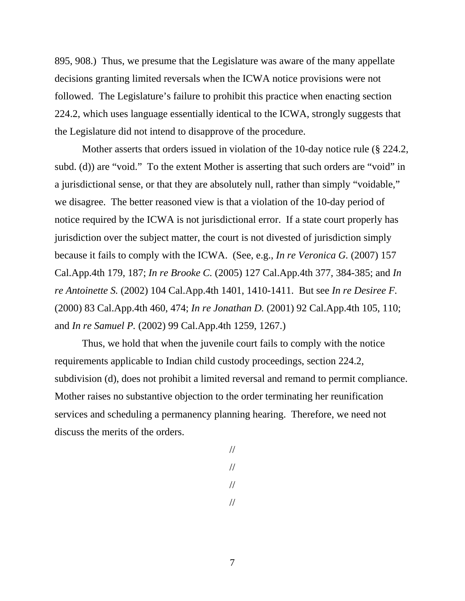895, 908.) Thus, we presume that the Legislature was aware of the many appellate decisions granting limited reversals when the ICWA notice provisions were not followed. The Legislature's failure to prohibit this practice when enacting section 224.2, which uses language essentially identical to the ICWA, strongly suggests that the Legislature did not intend to disapprove of the procedure.

 Mother asserts that orders issued in violation of the 10-day notice rule (§ 224.2, subd. (d)) are "void." To the extent Mother is asserting that such orders are "void" in a jurisdictional sense, or that they are absolutely null, rather than simply "voidable," we disagree. The better reasoned view is that a violation of the 10-day period of notice required by the ICWA is not jurisdictional error. If a state court properly has jurisdiction over the subject matter, the court is not divested of jurisdiction simply because it fails to comply with the ICWA. (See, e.g., *In re Veronica G.* (2007) 157 Cal.App.4th 179, 187; *In re Brooke C.* (2005) 127 Cal.App.4th 377, 384-385; and *In re Antoinette S.* (2002) 104 Cal.App.4th 1401, 1410-1411. But see *In re Desiree F.* (2000) 83 Cal.App.4th 460, 474; *In re Jonathan D.* (2001) 92 Cal.App.4th 105, 110; and *In re Samuel P.* (2002) 99 Cal.App.4th 1259, 1267.)

 Thus, we hold that when the juvenile court fails to comply with the notice requirements applicable to Indian child custody proceedings, section 224.2, subdivision (d), does not prohibit a limited reversal and remand to permit compliance. Mother raises no substantive objection to the order terminating her reunification services and scheduling a permanency planning hearing. Therefore, we need not discuss the merits of the orders.

> // // // //